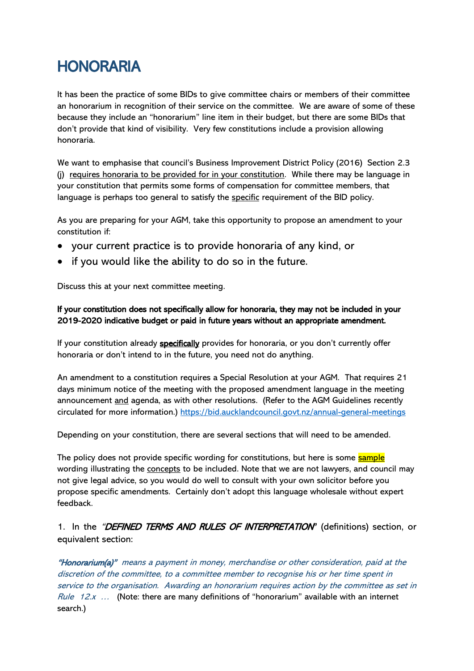# HONORARIA

It has been the practice of some BIDs to give committee chairs or members of their committee an honorarium in recognition of their service on the committee. We are aware of some of these because they include an "honorarium" line item in their budget, but there are some BIDs that don't provide that kind of visibility. Very few constitutions include a provision allowing honoraria.

We want to emphasise that council's Business Improvement District Policy (2016) Section 2.3 (j) requires honoraria to be provided for in your constitution. While there may be language in your constitution that permits some forms of compensation for committee members, that language is perhaps too general to satisfy the specific requirement of the BID policy.

As you are preparing for your AGM, take this opportunity to propose an amendment to your constitution if:

- your current practice is to provide honoraria of any kind, or
- if you would like the ability to do so in the future.

Discuss this at your next committee meeting.

### If your constitution does not specifically allow for honoraria, they may not be included in your 2019-2020 indicative budget or paid in future years without an appropriate amendment.

If your constitution already specifically provides for honoraria, or you don't currently offer honoraria or don't intend to in the future, you need not do anything.

An amendment to a constitution requires a Special Resolution at your AGM. That requires 21 days minimum notice of the meeting with the proposed amendment language in the meeting announcement and agenda, as with other resolutions. (Refer to the AGM Guidelines recently circulated for more information.)<https://bid.aucklandcouncil.govt.nz/annual-general-meetings>

Depending on your constitution, there are several sections that will need to be amended.

The policy does not provide specific wording for constitutions, but here is some sample wording illustrating the concepts to be included. Note that we are not lawyers, and council may not give legal advice, so you would do well to consult with your own solicitor before you propose specific amendments. Certainly don't adopt this language wholesale without expert feedback.

1. In the "DEFINED TERMS AND RULES OF INTERPRETATION" (definitions) section, or equivalent section:

"Honorarium(a)" means a payment in money, merchandise or other consideration, paid at the discretion of the committee, to a committee member to recognise his or her time spent in service to the organisation. Awarding an honorarium requires action by the committee as set in Rule  $12x$  ... (Note: there are many definitions of "honorarium" available with an internet search.)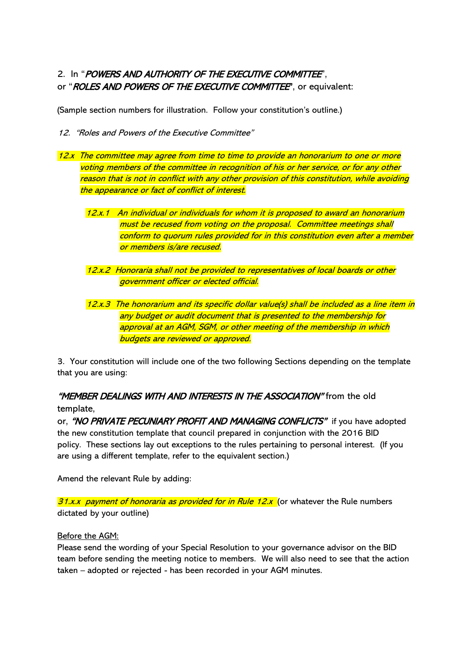## 2. In "POWERS AND AUTHORITY OF THE EXECUTIVE COMMITTEE". or "ROLES AND POWERS OF THE EXECUTIVE COMMITTEE", or equivalent:

(Sample section numbers for illustration. Follow your constitution's outline.)

- 12. "Roles and Powers of the Executive Committee"
- 12.x The committee may agree from time to time to provide an honorarium to one or more voting members of the committee in recognition of his or her service, or for any other reason that is not in conflict with any other provision of this constitution, while avoiding the appearance or fact of conflict of interest.
	- 12.x.1 An individual or individuals for whom it is proposed to award an honorarium must be recused from voting on the proposal. Committee meetings shall conform to quorum rules provided for in this constitution even after a member or members is/are recused.
	- 12.x.2 Honoraria shall not be provided to representatives of local boards or other government officer or elected official.
	- 12.x.3 The honorarium and its specific dollar value(s) shall be included as a line item in any budget or audit document that is presented to the membership for approval at an AGM, SGM, or other meeting of the membership in which budgets are reviewed or approved.

3. Your constitution will include one of the two following Sections depending on the template that you are using:

## "MEMBER DEALINGS WITH AND INTERESTS IN THE ASSOCIATION" from the old template,

or, "NO PRIVATE PECUNIARY PROFIT AND MANAGING CONFLICTS" if you have adopted the new constitution template that council prepared in conjunction with the 2016 BID policy. These sections lay out exceptions to the rules pertaining to personal interest. (If you are using a different template, refer to the equivalent section.)

Amend the relevant Rule by adding:

 $31.x.x$  payment of honoraria as provided for in Rule  $12.x$  (or whatever the Rule numbers dictated by your outline)

Before the AGM:

Please send the wording of your Special Resolution to your governance advisor on the BID team before sending the meeting notice to members. We will also need to see that the action taken – adopted or rejected - has been recorded in your AGM minutes.